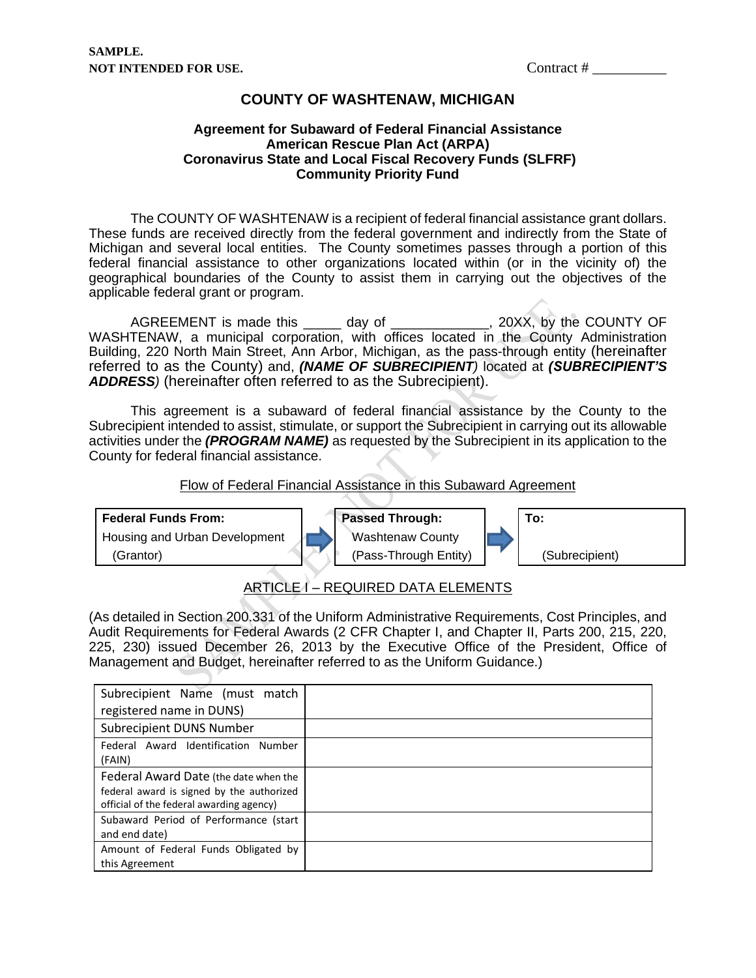## **COUNTY OF WASHTENAW, MICHIGAN**

#### **Agreement for Subaward of Federal Financial Assistance American Rescue Plan Act (ARPA) Coronavirus State and Local Fiscal Recovery Funds (SLFRF) Community Priority Fund**

 The COUNTY OF WASHTENAW is a recipient of federal financial assistance grant dollars. These funds are received directly from the federal government and indirectly from the State of Michigan and several local entities. The County sometimes passes through a portion of this federal financial assistance to other organizations located within (or in the vicinity of) the geographical boundaries of the County to assist them in carrying out the objectives of the applicable federal grant or program.

AGREEMENT is made this \_\_\_\_\_ day of \_\_\_\_\_\_\_\_\_\_\_\_, 20XX, by the COUNTY OF WASHTENAW, a municipal corporation, with offices located in the County Administration Building, 220 North Main Street, Ann Arbor, Michigan, as the pass-through entity (hereinafter referred to as the County) and, *(NAME OF SUBRECIPIENT)* located at *(SUBRECIPIENT'S ADDRESS)* (hereinafter often referred to as the Subrecipient).

 This agreement is a subaward of federal financial assistance by the County to the Subrecipient intended to assist, stimulate, or support the Subrecipient in carrying out its allowable activities under the *(PROGRAM NAME)* as requested by the Subrecipient in its application to the County for federal financial assistance.

#### Flow of Federal Financial Assistance in this Subaward Agreement



## ARTICLE I – REQUIRED DATA ELEMENTS

(As detailed in Section 200.331 of the Uniform Administrative Requirements, Cost Principles, and Audit Requirements for Federal Awards (2 CFR Chapter I, and Chapter II, Parts 200, 215, 220, 225, 230) issued December 26, 2013 by the Executive Office of the President, Office of Management and Budget, hereinafter referred to as the Uniform Guidance.)

| Subrecipient Name (must match             |  |
|-------------------------------------------|--|
| registered name in DUNS)                  |  |
| Subrecipient DUNS Number                  |  |
| Federal Award Identification Number       |  |
| (FAIN)                                    |  |
| Federal Award Date (the date when the     |  |
| federal award is signed by the authorized |  |
| official of the federal awarding agency)  |  |
| Subaward Period of Performance (start     |  |
| and end date)                             |  |
| Amount of Federal Funds Obligated by      |  |
| this Agreement                            |  |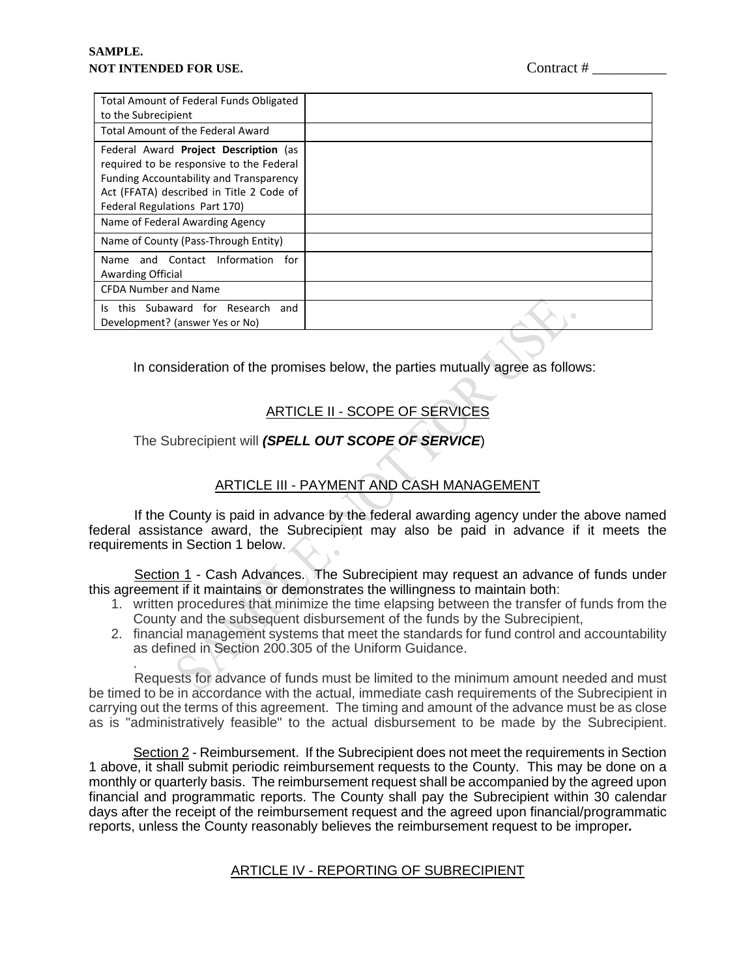| Total Amount of Federal Funds Obligated                         |  |
|-----------------------------------------------------------------|--|
| to the Subrecipient<br><b>Total Amount of the Federal Award</b> |  |
|                                                                 |  |
| Federal Award Project Description (as                           |  |
| required to be responsive to the Federal                        |  |
| Funding Accountability and Transparency                         |  |
| Act (FFATA) described in Title 2 Code of                        |  |
| Federal Regulations Part 170)                                   |  |
| Name of Federal Awarding Agency                                 |  |
| Name of County (Pass-Through Entity)                            |  |
| and Contact Information<br>Name<br>for                          |  |
| <b>Awarding Official</b>                                        |  |
| <b>CFDA Number and Name</b>                                     |  |
| this Subaward for Research<br>and<br>I٢                         |  |
| Development? (answer Yes or No)                                 |  |
|                                                                 |  |

In consideration of the promises below, the parties mutually agree as follows:

# ARTICLE II - SCOPE OF SERVICES

## The Subrecipient will *(SPELL OUT SCOPE OF SERVICE*)

# ARTICLE III - PAYMENT AND CASH MANAGEMENT

 If the County is paid in advance by the federal awarding agency under the above named federal assistance award, the Subrecipient may also be paid in advance if it meets the requirements in Section 1 below.

 Section 1 - Cash Advances. The Subrecipient may request an advance of funds under this agreement if it maintains or demonstrates the willingness to maintain both:

- 1. written procedures that minimize the time elapsing between the transfer of funds from the County and the subsequent disbursement of the funds by the Subrecipient,
- 2. financial management systems that meet the standards for fund control and accountability as defined in Section 200.305 of the Uniform Guidance.

. Requests for advance of funds must be limited to the minimum amount needed and must be timed to be in accordance with the actual, immediate cash requirements of the Subrecipient in carrying out the terms of this agreement. The timing and amount of the advance must be as close as is "administratively feasible" to the actual disbursement to be made by the Subrecipient.

Section 2 - Reimbursement. If the Subrecipient does not meet the requirements in Section 1 above, it shall submit periodic reimbursement requests to the County. This may be done on a monthly or quarterly basis. The reimbursement request shall be accompanied by the agreed upon financial and programmatic reports. The County shall pay the Subrecipient within 30 calendar days after the receipt of the reimbursement request and the agreed upon financial/programmatic reports, unless the County reasonably believes the reimbursement request to be improper*.* 

## **ARTICLE IV - REPORTING OF SUBRECIPIENT**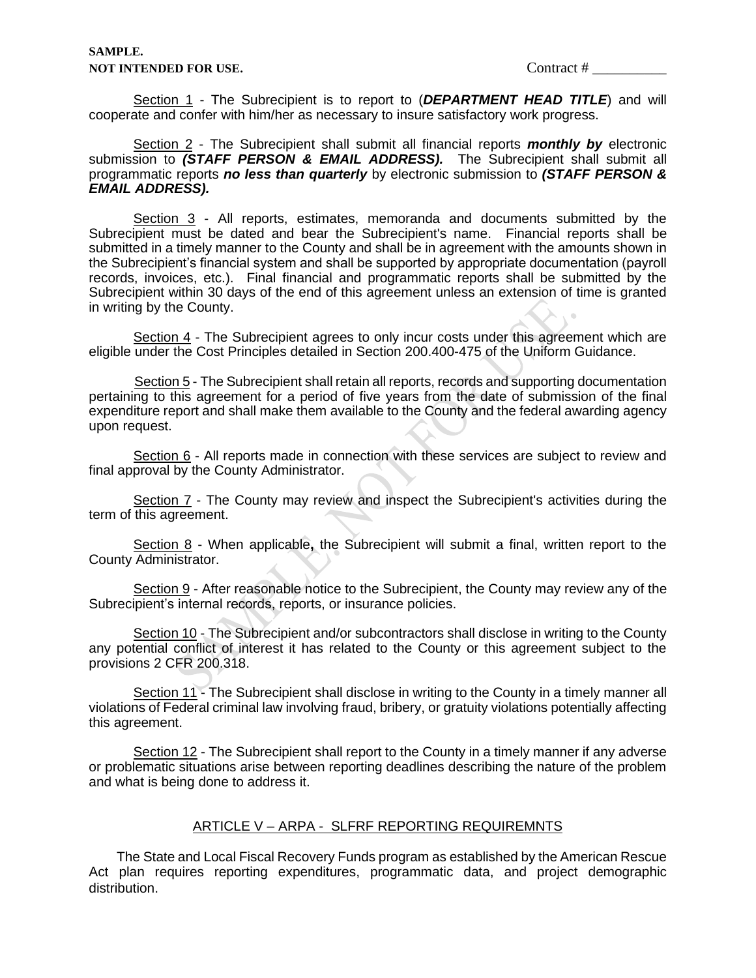Section 1 - The Subrecipient is to report to (*DEPARTMENT HEAD TITLE*) and will cooperate and confer with him/her as necessary to insure satisfactory work progress.

Section 2 - The Subrecipient shall submit all financial reports *monthly by* electronic submission to *(STAFF PERSON & EMAIL ADDRESS).* The Subrecipient shall submit all programmatic reports *no less than quarterly* by electronic submission to *(STAFF PERSON & EMAIL ADDRESS).*

Section 3 - All reports, estimates, memoranda and documents submitted by the Subrecipient must be dated and bear the Subrecipient's name. Financial reports shall be submitted in a timely manner to the County and shall be in agreement with the amounts shown in the Subrecipient's financial system and shall be supported by appropriate documentation (payroll records, invoices, etc.). Final financial and programmatic reports shall be submitted by the Subrecipient within 30 days of the end of this agreement unless an extension of time is granted in writing by the County.

Section 4 - The Subrecipient agrees to only incur costs under this agreement which are eligible under the Cost Principles detailed in Section 200.400-475 of the Uniform Guidance.

 Section 5 - The Subrecipient shall retain all reports, records and supporting documentation pertaining to this agreement for a period of five years from the date of submission of the final expenditure report and shall make them available to the County and the federal awarding agency upon request.

Section 6 - All reports made in connection with these services are subject to review and final approval by the County Administrator.

Section 7 - The County may review and inspect the Subrecipient's activities during the term of this agreement.

Section 8 - When applicable**,** the Subrecipient will submit a final, written report to the County Administrator.

Section 9 - After reasonable notice to the Subrecipient, the County may review any of the Subrecipient's internal records, reports, or insurance policies.

Section 10 - The Subrecipient and/or subcontractors shall disclose in writing to the County any potential conflict of interest it has related to the County or this agreement subject to the provisions 2 CFR 200.318.

Section 11 - The Subrecipient shall disclose in writing to the County in a timely manner all violations of Federal criminal law involving fraud, bribery, or gratuity violations potentially affecting this agreement.

Section 12 - The Subrecipient shall report to the County in a timely manner if any adverse or problematic situations arise between reporting deadlines describing the nature of the problem and what is being done to address it.

#### ARTICLE V – ARPA - SLFRF REPORTING REQUIREMNTS

The State and Local Fiscal Recovery Funds program as established by the American Rescue Act plan requires reporting expenditures, programmatic data, and project demographic distribution.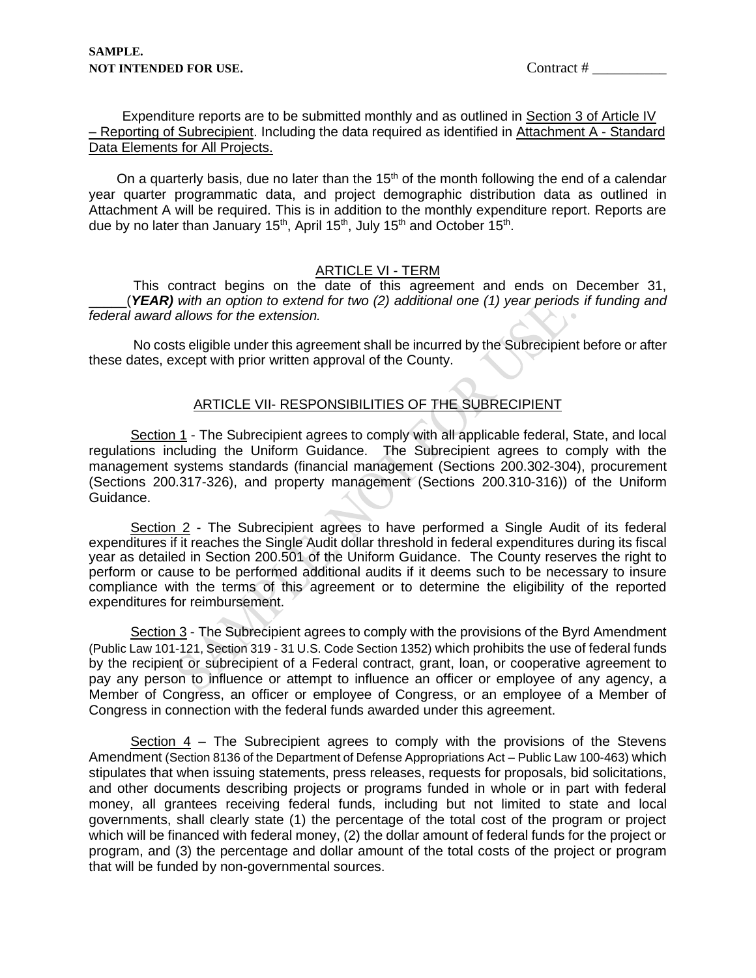Expenditure reports are to be submitted monthly and as outlined in Section 3 of Article IV – Reporting of Subrecipient. Including the data required as identified in Attachment A - Standard Data Elements for All Projects.

On a quarterly basis, due no later than the  $15<sup>th</sup>$  of the month following the end of a calendar year quarter programmatic data, and project demographic distribution data as outlined in Attachment A will be required. This is in addition to the monthly expenditure report. Reports are due by no later than January 15<sup>th</sup>, April 15<sup>th</sup>, July 15<sup>th</sup> and October 15<sup>th</sup>.

#### ARTICLE VI - TERM

This contract begins on the date of this agreement and ends on December 31, \_\_\_\_\_(*YEAR) with an option to extend for two (2) additional one (1) year periods if funding and federal award allows for the extension.* 

No costs eligible under this agreement shall be incurred by the Subrecipient before or after these dates, except with prior written approval of the County.

## ARTICLE VII- RESPONSIBILITIES OF THE SUBRECIPIENT

 Section 1 - The Subrecipient agrees to comply with all applicable federal, State, and local regulations including the Uniform Guidance. The Subrecipient agrees to comply with the management systems standards (financial management (Sections 200.302-304), procurement (Sections 200.317-326), and property management (Sections 200.310-316)) of the Uniform Guidance.

 Section 2 - The Subrecipient agrees to have performed a Single Audit of its federal expenditures if it reaches the Single Audit dollar threshold in federal expenditures during its fiscal year as detailed in Section 200.501 of the Uniform Guidance. The County reserves the right to perform or cause to be performed additional audits if it deems such to be necessary to insure compliance with the terms of this agreement or to determine the eligibility of the reported expenditures for reimbursement.

Section 3 - The Subrecipient agrees to comply with the provisions of the Byrd Amendment (Public Law 101-121, Section 319 - 31 U.S. Code Section 1352) which prohibits the use of federal funds by the recipient or subrecipient of a Federal contract, grant, loan, or cooperative agreement to pay any person to influence or attempt to influence an officer or employee of any agency, a Member of Congress, an officer or employee of Congress, or an employee of a Member of Congress in connection with the federal funds awarded under this agreement.

 Section 4 – The Subrecipient agrees to comply with the provisions of the Stevens Amendment (Section 8136 of the Department of Defense Appropriations Act – Public Law 100-463) which stipulates that when issuing statements, press releases, requests for proposals, bid solicitations, and other documents describing projects or programs funded in whole or in part with federal money, all grantees receiving federal funds, including but not limited to state and local governments, shall clearly state (1) the percentage of the total cost of the program or project which will be financed with federal money, (2) the dollar amount of federal funds for the project or program, and (3) the percentage and dollar amount of the total costs of the project or program that will be funded by non-governmental sources.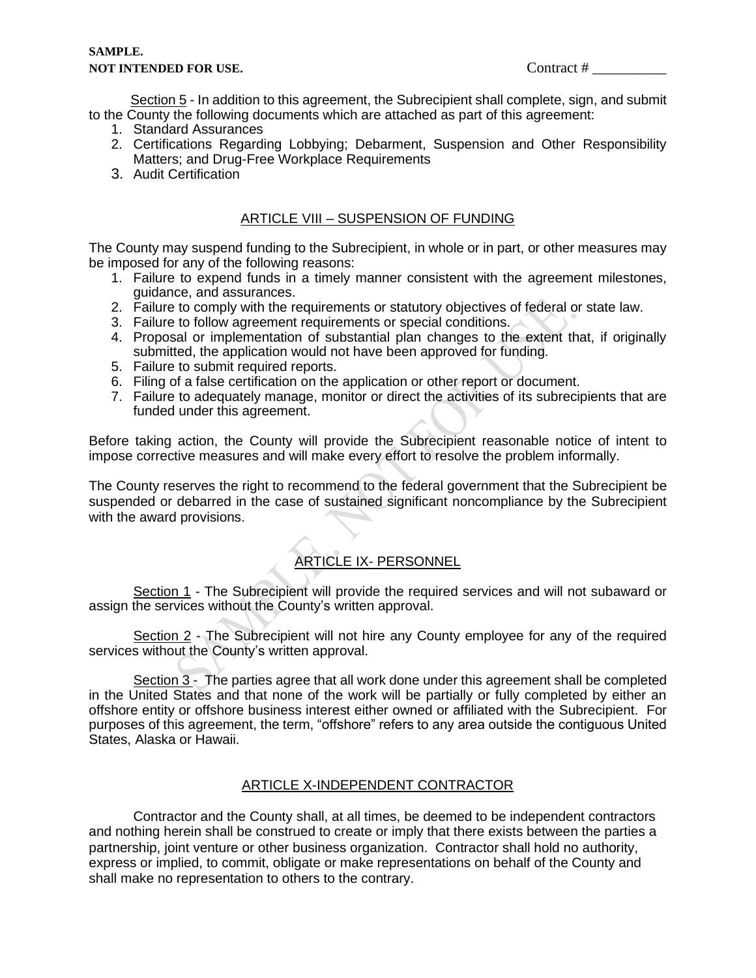Section 5 - In addition to this agreement, the Subrecipient shall complete, sign, and submit to the County the following documents which are attached as part of this agreement:

- 1. Standard Assurances
- 2. Certifications Regarding Lobbying; Debarment, Suspension and Other Responsibility Matters; and Drug-Free Workplace Requirements
- 3. Audit Certification

### ARTICLE VIII – SUSPENSION OF FUNDING

The County may suspend funding to the Subrecipient, in whole or in part, or other measures may be imposed for any of the following reasons:

- 1. Failure to expend funds in a timely manner consistent with the agreement milestones, guidance, and assurances.
- 2. Failure to comply with the requirements or statutory objectives of federal or state law.
- 3. Failure to follow agreement requirements or special conditions.
- 4. Proposal or implementation of substantial plan changes to the extent that, if originally submitted, the application would not have been approved for funding.
- 5. Failure to submit required reports.
- 6. Filing of a false certification on the application or other report or document.
- 7. Failure to adequately manage, monitor or direct the activities of its subrecipients that are funded under this agreement.

Before taking action, the County will provide the Subrecipient reasonable notice of intent to impose corrective measures and will make every effort to resolve the problem informally.

The County reserves the right to recommend to the federal government that the Subrecipient be suspended or debarred in the case of sustained significant noncompliance by the Subrecipient with the award provisions.

## ARTICLE IX- PERSONNEL

Section 1 - The Subrecipient will provide the required services and will not subaward or assign the services without the County's written approval.

Section 2 - The Subrecipient will not hire any County employee for any of the required services without the County's written approval.

Section 3 - The parties agree that all work done under this agreement shall be completed in the United States and that none of the work will be partially or fully completed by either an offshore entity or offshore business interest either owned or affiliated with the Subrecipient. For purposes of this agreement, the term, "offshore" refers to any area outside the contiguous United States, Alaska or Hawaii.

#### ARTICLE X-INDEPENDENT CONTRACTOR

Contractor and the County shall, at all times, be deemed to be independent contractors and nothing herein shall be construed to create or imply that there exists between the parties a partnership, joint venture or other business organization. Contractor shall hold no authority, express or implied, to commit, obligate or make representations on behalf of the County and shall make no representation to others to the contrary.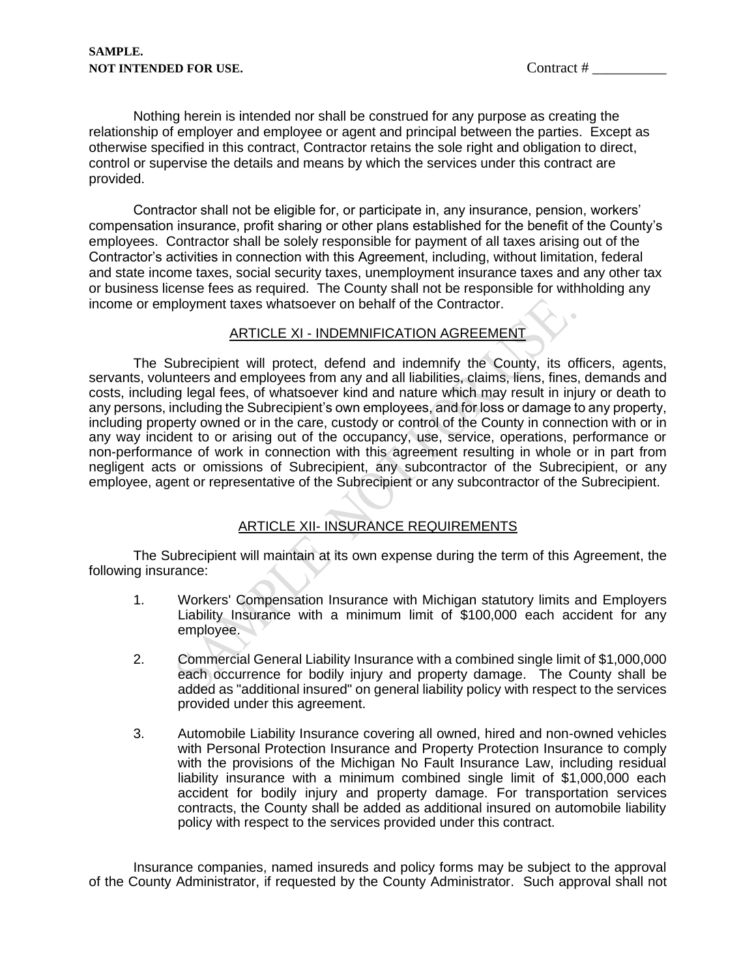Nothing herein is intended nor shall be construed for any purpose as creating the relationship of employer and employee or agent and principal between the parties. Except as otherwise specified in this contract, Contractor retains the sole right and obligation to direct, control or supervise the details and means by which the services under this contract are provided.

Contractor shall not be eligible for, or participate in, any insurance, pension, workers' compensation insurance, profit sharing or other plans established for the benefit of the County's employees. Contractor shall be solely responsible for payment of all taxes arising out of the Contractor's activities in connection with this Agreement, including, without limitation, federal and state income taxes, social security taxes, unemployment insurance taxes and any other tax or business license fees as required. The County shall not be responsible for withholding any income or employment taxes whatsoever on behalf of the Contractor.

### ARTICLE XI - INDEMNIFICATION AGREEMENT

The Subrecipient will protect, defend and indemnify the County, its officers, agents, servants, volunteers and employees from any and all liabilities, claims, liens, fines, demands and costs, including legal fees, of whatsoever kind and nature which may result in injury or death to any persons, including the Subrecipient's own employees, and for loss or damage to any property, including property owned or in the care, custody or control of the County in connection with or in any way incident to or arising out of the occupancy, use, service, operations, performance or non-performance of work in connection with this agreement resulting in whole or in part from negligent acts or omissions of Subrecipient, any subcontractor of the Subrecipient, or any employee, agent or representative of the Subrecipient or any subcontractor of the Subrecipient.

## ARTICLE XII- INSURANCE REQUIREMENTS

The Subrecipient will maintain at its own expense during the term of this Agreement, the following insurance:

- 1. Workers' Compensation Insurance with Michigan statutory limits and Employers Liability Insurance with a minimum limit of \$100,000 each accident for any employee.
- 2. Commercial General Liability Insurance with a combined single limit of \$1,000,000 each occurrence for bodily injury and property damage. The County shall be added as "additional insured" on general liability policy with respect to the services provided under this agreement.
- 3. Automobile Liability Insurance covering all owned, hired and non-owned vehicles with Personal Protection Insurance and Property Protection Insurance to comply with the provisions of the Michigan No Fault Insurance Law, including residual liability insurance with a minimum combined single limit of \$1,000,000 each accident for bodily injury and property damage. For transportation services contracts, the County shall be added as additional insured on automobile liability policy with respect to the services provided under this contract.

Insurance companies, named insureds and policy forms may be subject to the approval of the County Administrator, if requested by the County Administrator. Such approval shall not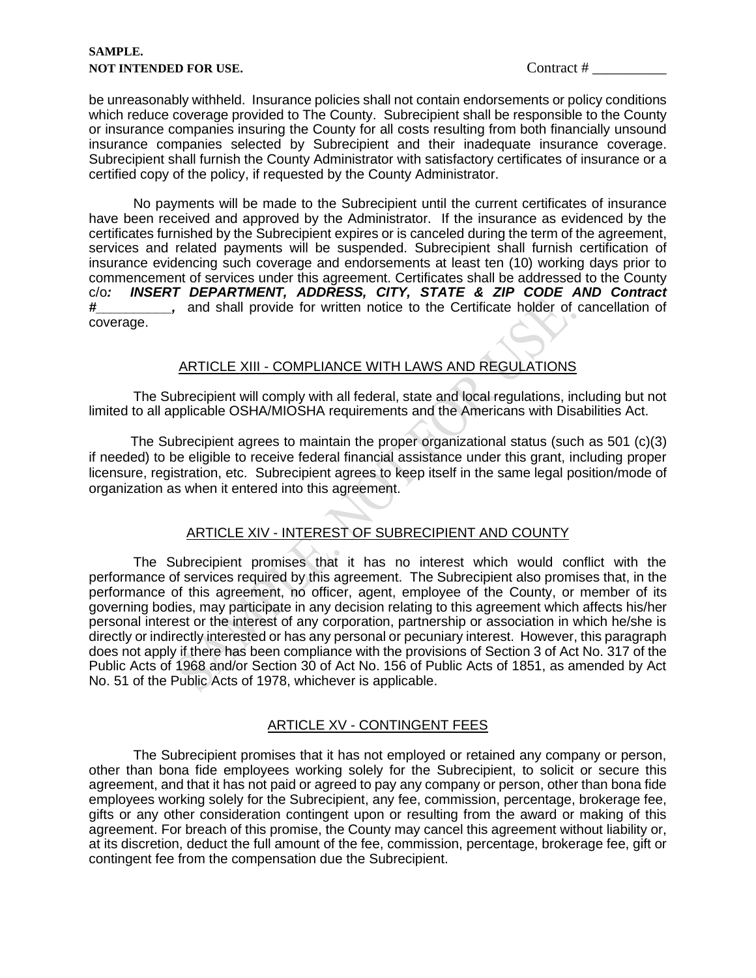#### **SAMPLE. NOT INTENDED FOR USE.** Contract #  $\blacksquare$

be unreasonably withheld. Insurance policies shall not contain endorsements or policy conditions which reduce coverage provided to The County. Subrecipient shall be responsible to the County or insurance companies insuring the County for all costs resulting from both financially unsound insurance companies selected by Subrecipient and their inadequate insurance coverage. Subrecipient shall furnish the County Administrator with satisfactory certificates of insurance or a certified copy of the policy, if requested by the County Administrator.

No payments will be made to the Subrecipient until the current certificates of insurance have been received and approved by the Administrator. If the insurance as evidenced by the certificates furnished by the Subrecipient expires or is canceled during the term of the agreement, services and related payments will be suspended. Subrecipient shall furnish certification of insurance evidencing such coverage and endorsements at least ten (10) working days prior to commencement of services under this agreement. Certificates shall be addressed to the County c/o*: INSERT DEPARTMENT, ADDRESS, CITY, STATE & ZIP CODE AND Contract #\_\_\_\_\_\_\_\_\_\_,* and shall provide for written notice to the Certificate holder of cancellation of coverage.

## ARTICLE XIII - COMPLIANCE WITH LAWS AND REGULATIONS

The Subrecipient will comply with all federal, state and local regulations, including but not limited to all applicable OSHA/MIOSHA requirements and the Americans with Disabilities Act.

 The Subrecipient agrees to maintain the proper organizational status (such as 501 (c)(3) if needed) to be eligible to receive federal financial assistance under this grant, including proper licensure, registration, etc. Subrecipient agrees to keep itself in the same legal position/mode of organization as when it entered into this agreement.

## ARTICLE XIV - INTEREST OF SUBRECIPIENT AND COUNTY

The Subrecipient promises that it has no interest which would conflict with the performance of services required by this agreement. The Subrecipient also promises that, in the performance of this agreement, no officer, agent, employee of the County, or member of its governing bodies, may participate in any decision relating to this agreement which affects his/her personal interest or the interest of any corporation, partnership or association in which he/she is directly or indirectly interested or has any personal or pecuniary interest. However, this paragraph does not apply if there has been compliance with the provisions of Section 3 of Act No. 317 of the Public Acts of 1968 and/or Section 30 of Act No. 156 of Public Acts of 1851, as amended by Act No. 51 of the Public Acts of 1978, whichever is applicable.

## ARTICLE XV - CONTINGENT FEES

The Subrecipient promises that it has not employed or retained any company or person, other than bona fide employees working solely for the Subrecipient, to solicit or secure this agreement, and that it has not paid or agreed to pay any company or person, other than bona fide employees working solely for the Subrecipient, any fee, commission, percentage, brokerage fee, gifts or any other consideration contingent upon or resulting from the award or making of this agreement. For breach of this promise, the County may cancel this agreement without liability or, at its discretion, deduct the full amount of the fee, commission, percentage, brokerage fee, gift or contingent fee from the compensation due the Subrecipient.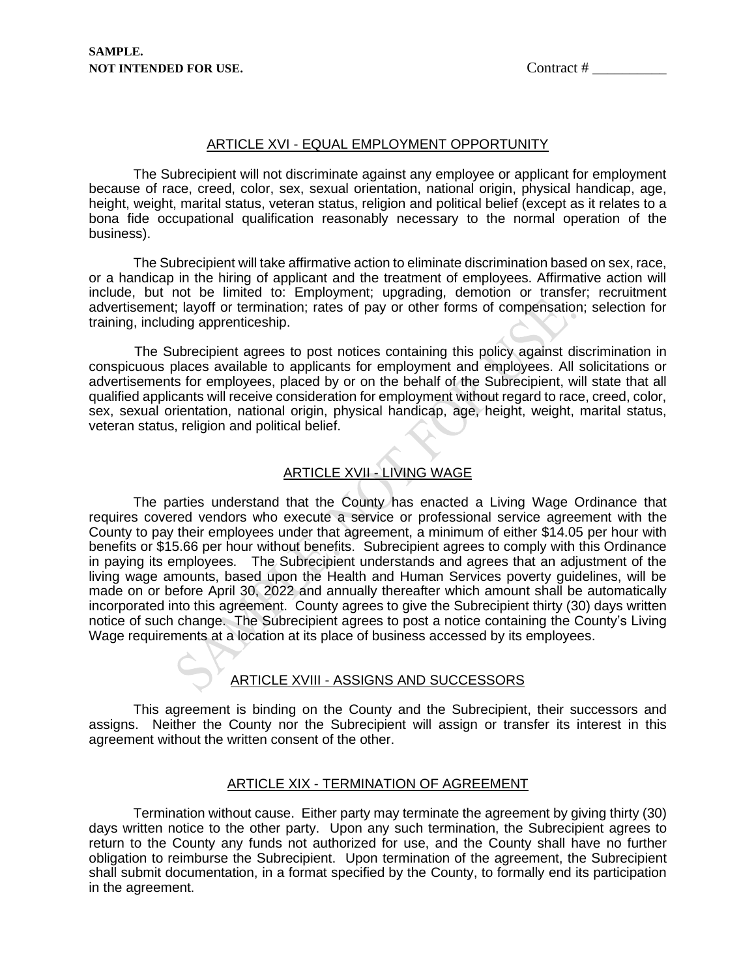#### ARTICLE XVI - EQUAL EMPLOYMENT OPPORTUNITY

The Subrecipient will not discriminate against any employee or applicant for employment because of race, creed, color, sex, sexual orientation, national origin, physical handicap, age, height, weight, marital status, veteran status, religion and political belief (except as it relates to a bona fide occupational qualification reasonably necessary to the normal operation of the business).

The Subrecipient will take affirmative action to eliminate discrimination based on sex, race, or a handicap in the hiring of applicant and the treatment of employees. Affirmative action will include, but not be limited to: Employment; upgrading, demotion or transfer; recruitment advertisement; layoff or termination; rates of pay or other forms of compensation; selection for training, including apprenticeship.

 The Subrecipient agrees to post notices containing this policy against discrimination in conspicuous places available to applicants for employment and employees. All solicitations or advertisements for employees, placed by or on the behalf of the Subrecipient, will state that all qualified applicants will receive consideration for employment without regard to race, creed, color, sex, sexual orientation, national origin, physical handicap, age, height, weight, marital status, veteran status, religion and political belief.

## ARTICLE XVII - LIVING WAGE

The parties understand that the County has enacted a Living Wage Ordinance that requires covered vendors who execute a service or professional service agreement with the County to pay their employees under that agreement, a minimum of either \$14.05 per hour with benefits or \$15.66 per hour without benefits. Subrecipient agrees to comply with this Ordinance in paying its employees. The Subrecipient understands and agrees that an adjustment of the living wage amounts, based upon the Health and Human Services poverty guidelines, will be made on or before April 30, 2022 and annually thereafter which amount shall be automatically incorporated into this agreement. County agrees to give the Subrecipient thirty (30) days written notice of such change. The Subrecipient agrees to post a notice containing the County's Living Wage requirements at a location at its place of business accessed by its employees.

## ARTICLE XVIII - ASSIGNS AND SUCCESSORS

This agreement is binding on the County and the Subrecipient, their successors and assigns. Neither the County nor the Subrecipient will assign or transfer its interest in this agreement without the written consent of the other.

#### ARTICLE XIX - TERMINATION OF AGREEMENT

Termination without cause. Either party may terminate the agreement by giving thirty (30) days written notice to the other party. Upon any such termination, the Subrecipient agrees to return to the County any funds not authorized for use, and the County shall have no further obligation to reimburse the Subrecipient. Upon termination of the agreement, the Subrecipient shall submit documentation, in a format specified by the County, to formally end its participation in the agreement.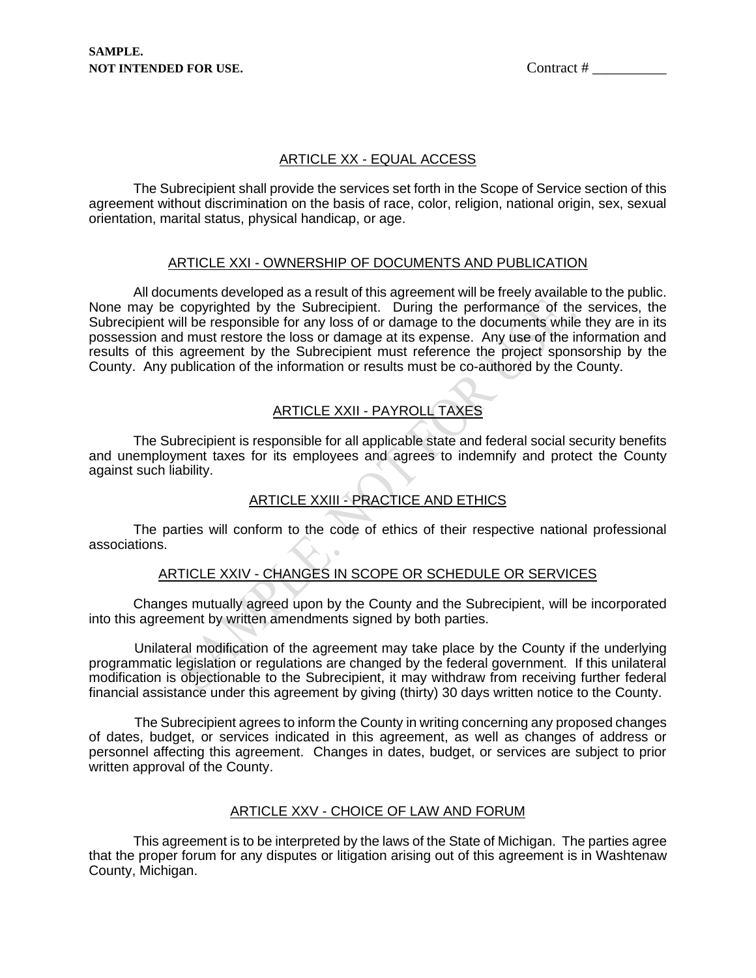## ARTICLE XX - EQUAL ACCESS

The Subrecipient shall provide the services set forth in the Scope of Service section of this agreement without discrimination on the basis of race, color, religion, national origin, sex, sexual orientation, marital status, physical handicap, or age.

## ARTICLE XXI - OWNERSHIP OF DOCUMENTS AND PUBLICATION

All documents developed as a result of this agreement will be freely available to the public. None may be copyrighted by the Subrecipient. During the performance of the services, the Subrecipient will be responsible for any loss of or damage to the documents while they are in its possession and must restore the loss or damage at its expense. Any use of the information and results of this agreement by the Subrecipient must reference the project sponsorship by the County. Any publication of the information or results must be co-authored by the County.

## ARTICLE XXII - PAYROLL TAXES

The Subrecipient is responsible for all applicable state and federal social security benefits and unemployment taxes for its employees and agrees to indemnify and protect the County against such liability.

## ARTICLE XXIII - PRACTICE AND ETHICS

The parties will conform to the code of ethics of their respective national professional associations.

## ARTICLE XXIV - CHANGES IN SCOPE OR SCHEDULE OR SERVICES

Changes mutually agreed upon by the County and the Subrecipient, will be incorporated into this agreement by written amendments signed by both parties.

 Unilateral modification of the agreement may take place by the County if the underlying programmatic legislation or regulations are changed by the federal government. If this unilateral modification is objectionable to the Subrecipient, it may withdraw from receiving further federal financial assistance under this agreement by giving (thirty) 30 days written notice to the County.

 The Subrecipient agrees to inform the County in writing concerning any proposed changes of dates, budget, or services indicated in this agreement, as well as changes of address or personnel affecting this agreement. Changes in dates, budget, or services are subject to prior written approval of the County.

## ARTICLE XXV - CHOICE OF LAW AND FORUM

This agreement is to be interpreted by the laws of the State of Michigan. The parties agree that the proper forum for any disputes or litigation arising out of this agreement is in Washtenaw County, Michigan.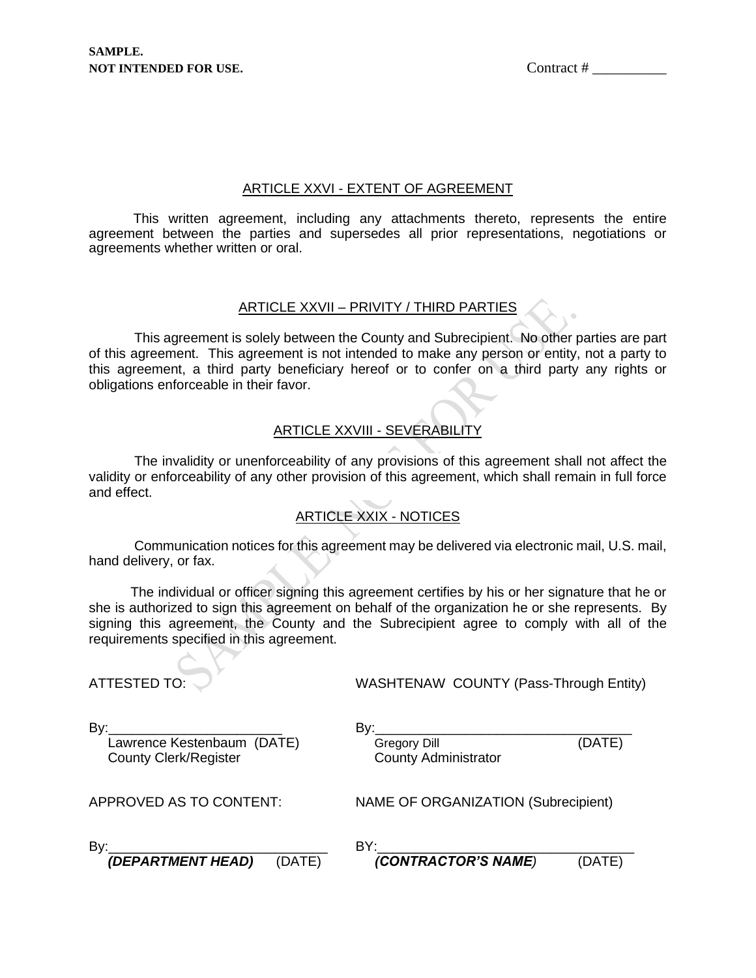## ARTICLE XXVI - EXTENT OF AGREEMENT

This written agreement, including any attachments thereto, represents the entire agreement between the parties and supersedes all prior representations, negotiations or agreements whether written or oral.

## ARTICLE XXVII – PRIVITY / THIRD PARTIES

 This agreement is solely between the County and Subrecipient. No other parties are part of this agreement. This agreement is not intended to make any person or entity, not a party to this agreement, a third party beneficiary hereof or to confer on a third party any rights or obligations enforceable in their favor.

## ARTICLE XXVIII - SEVERABILITY

 The invalidity or unenforceability of any provisions of this agreement shall not affect the validity or enforceability of any other provision of this agreement, which shall remain in full force and effect.

# ARTICLE XXIX - NOTICES

 Communication notices for this agreement may be delivered via electronic mail, U.S. mail, hand delivery, or fax.

 The individual or officer signing this agreement certifies by his or her signature that he or she is authorized to sign this agreement on behalf of the organization he or she represents. By signing this agreement, the County and the Subrecipient agree to comply with all of the requirements specified in this agreement.

## ATTESTED TO: WASHTENAW COUNTY (Pass-Through Entity)

By:\_\_\_\_\_\_\_\_\_\_\_\_\_\_\_\_\_\_\_\_\_\_\_ By:\_\_\_\_\_\_\_\_\_\_\_\_\_\_\_\_\_\_\_\_\_\_\_\_\_\_\_\_\_\_\_\_\_\_ Lawrence Kestenbaum (DATE)<br>
County Clerk/Register County Administrator County Clerk/Register

APPROVED AS TO CONTENT: NAME OF ORGANIZATION (Subrecipient)

| Bv:                   |                      |  |
|-----------------------|----------------------|--|
| $/$ DEDADTMENIT UEADI | (CONTDACTOD/C NIAIL) |  |

*(DEPARTMENT HEAD)* (DATE) *(CONTRACTOR'S NAME)* (DATE)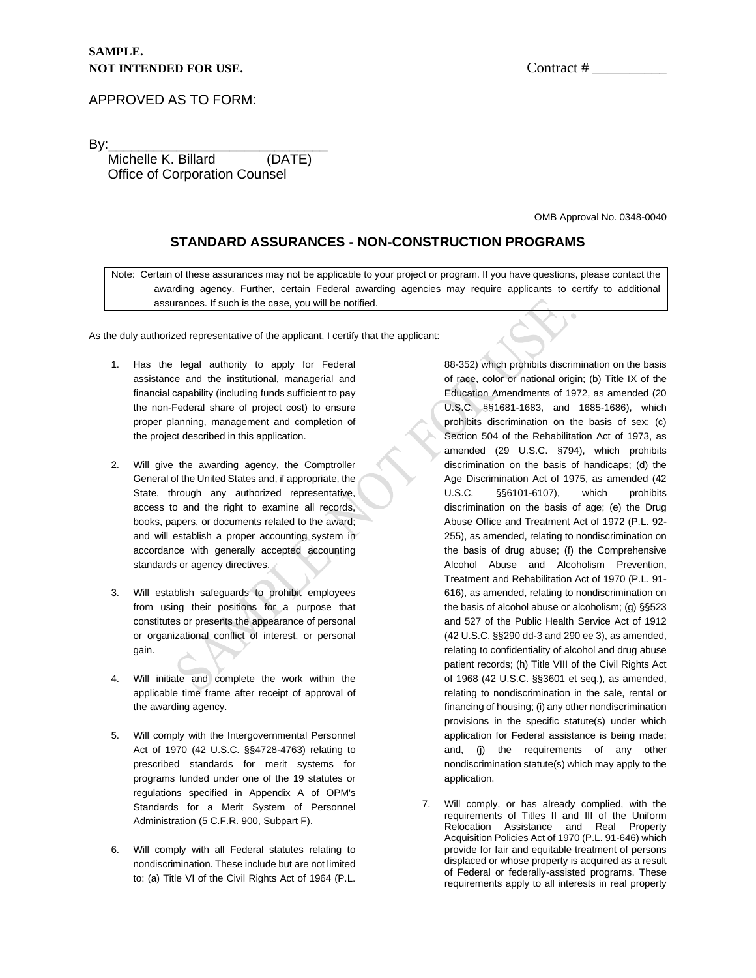#### APPROVED AS TO FORM:

By:\_\_\_\_\_\_\_\_\_\_\_\_\_\_\_\_\_\_\_\_\_\_\_\_\_\_\_\_\_ Michelle K. Billard (DATE) Office of Corporation Counsel

OMB Approval No. 0348-0040

#### **STANDARD ASSURANCES - NON-CONSTRUCTION PROGRAMS**

Note: Certain of these assurances may not be applicable to your project or program. If you have questions, please contact the awarding agency. Further, certain Federal awarding agencies may require applicants to certify to additional assurances. If such is the case, you will be notified.

As the duly authorized representative of the applicant, I certify that the applicant:

- 1. Has the legal authority to apply for Federal assistance and the institutional, managerial and financial capability (including funds sufficient to pay the non-Federal share of project cost) to ensure proper planning, management and completion of the project described in this application.
- 2. Will give the awarding agency, the Comptroller General of the United States and, if appropriate, the State, through any authorized representative, access to and the right to examine all records, books, papers, or documents related to the award; and will establish a proper accounting system in accordance with generally accepted accounting standards or agency directives.
- 3. Will establish safeguards to prohibit employees from using their positions for a purpose that constitutes or presents the appearance of personal or organizational conflict of interest, or personal gain.
- 4. Will initiate and complete the work within the applicable time frame after receipt of approval of the awarding agency.
- 5. Will comply with the Intergovernmental Personnel Act of 1970 (42 U.S.C. §§4728-4763) relating to prescribed standards for merit systems for programs funded under one of the 19 statutes or regulations specified in Appendix A of OPM's Standards for a Merit System of Personnel Administration (5 C.F.R. 900, Subpart F).
- 6. Will comply with all Federal statutes relating to nondiscrimination. These include but are not limited to: (a) Title VI of the Civil Rights Act of 1964 (P.L.

88-352) which prohibits discrimination on the basis of race, color or national origin; (b) Title IX of the Education Amendments of 1972, as amended (20 U.S.C. §§1681-1683, and 1685-1686), which prohibits discrimination on the basis of sex; (c) Section 504 of the Rehabilitation Act of 1973, as amended (29 U.S.C. §794), which prohibits discrimination on the basis of handicaps; (d) the Age Discrimination Act of 1975, as amended (42 U.S.C. §§6101-6107), which prohibits discrimination on the basis of age; (e) the Drug Abuse Office and Treatment Act of 1972 (P.L. 92- 255), as amended, relating to nondiscrimination on the basis of drug abuse; (f) the Comprehensive Alcohol Abuse and Alcoholism Prevention, Treatment and Rehabilitation Act of 1970 (P.L. 91- 616), as amended, relating to nondiscrimination on the basis of alcohol abuse or alcoholism; (g) §§523 and 527 of the Public Health Service Act of 1912 (42 U.S.C. §§290 dd-3 and 290 ee 3), as amended, relating to confidentiality of alcohol and drug abuse patient records; (h) Title VIII of the Civil Rights Act of 1968 (42 U.S.C. §§3601 et seq.), as amended, relating to nondiscrimination in the sale, rental or financing of housing; (i) any other nondiscrimination provisions in the specific statute(s) under which application for Federal assistance is being made; and, (j) the requirements of any other nondiscrimination statute(s) which may apply to the application.

7. Will comply, or has already complied, with the requirements of Titles II and III of the Uniform Relocation Assistance and Real Property Acquisition Policies Act of 1970 (P.L. 91-646) which provide for fair and equitable treatment of persons displaced or whose property is acquired as a result of Federal or federally-assisted programs. These requirements apply to all interests in real property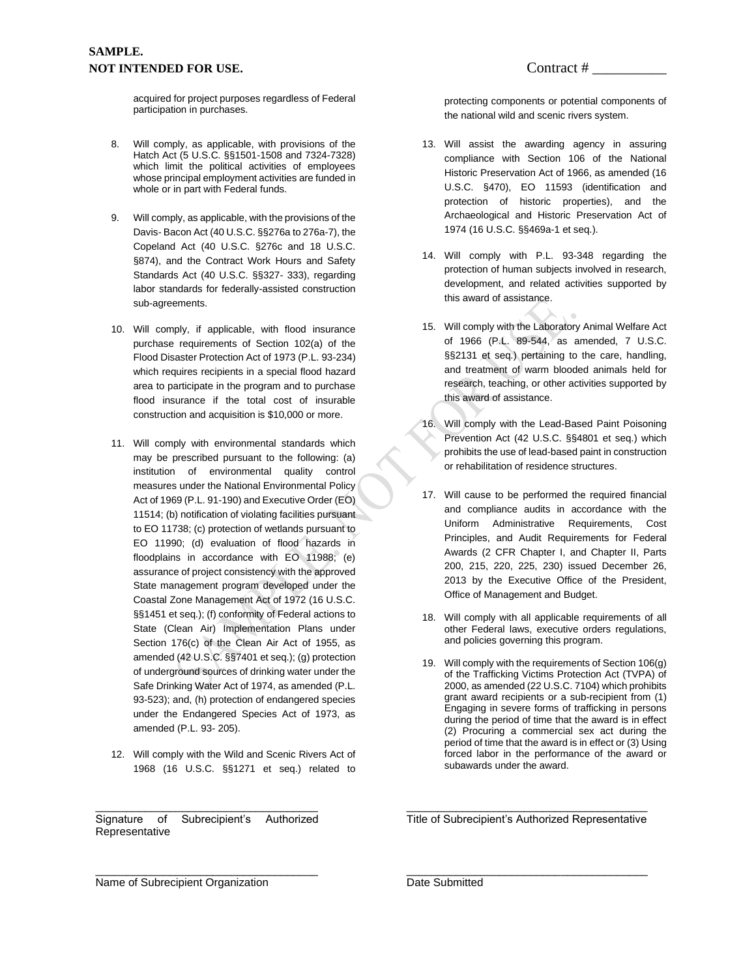acquired for project purposes regardless of Federal participation in purchases.

- 8. Will comply, as applicable, with provisions of the Hatch Act (5 U.S.C. §§1501-1508 and 7324-7328) which limit the political activities of employees whose principal employment activities are funded in whole or in part with Federal funds.
- 9. Will comply, as applicable, with the provisions of the Davis- Bacon Act (40 U.S.C. §§276a to 276a-7), the Copeland Act (40 U.S.C. §276c and 18 U.S.C. §874), and the Contract Work Hours and Safety Standards Act (40 U.S.C. §§327- 333), regarding labor standards for federally-assisted construction sub-agreements.
- 10. Will comply, if applicable, with flood insurance purchase requirements of Section 102(a) of the Flood Disaster Protection Act of 1973 (P.L. 93-234) which requires recipients in a special flood hazard area to participate in the program and to purchase flood insurance if the total cost of insurable construction and acquisition is \$10,000 or more.
- 11. Will comply with environmental standards which may be prescribed pursuant to the following: (a) institution of environmental quality control measures under the National Environmental Policy Act of 1969 (P.L. 91-190) and Executive Order (EO) 11514; (b) notification of violating facilities pursuant to EO 11738; (c) protection of wetlands pursuant to EO 11990; (d) evaluation of flood hazards in floodplains in accordance with EO 11988; (e) assurance of project consistency with the approved State management program developed under the Coastal Zone Management Act of 1972 (16 U.S.C. §§1451 et seq.); (f) conformity of Federal actions to State (Clean Air) Implementation Plans under Section 176(c) of the Clean Air Act of 1955, as amended (42 U.S.C. §§7401 et seq.); (g) protection of underground sources of drinking water under the Safe Drinking Water Act of 1974, as amended (P.L. 93-523); and, (h) protection of endangered species under the Endangered Species Act of 1973, as amended (P.L. 93- 205).
- 12. Will comply with the Wild and Scenic Rivers Act of 1968 (16 U.S.C. §§1271 et seq.) related to

\_\_\_\_\_\_\_\_\_\_\_\_\_\_\_\_\_\_\_\_\_\_\_\_\_\_\_\_\_\_\_\_\_\_\_\_ Signature of Subrecipient's Authorized Representative

\_\_\_\_\_\_\_\_\_\_\_\_\_\_\_\_\_\_\_\_\_\_\_\_\_\_\_\_\_\_\_\_\_\_\_\_

protecting components or potential components of the national wild and scenic rivers system.

- 13. Will assist the awarding agency in assuring compliance with Section 106 of the National Historic Preservation Act of 1966, as amended (16 U.S.C. §470), EO 11593 (identification and protection of historic properties), and the Archaeological and Historic Preservation Act of 1974 (16 U.S.C. §§469a-1 et seq.).
- 14. Will comply with P.L. 93-348 regarding the protection of human subjects involved in research, development, and related activities supported by this award of assistance.
- 15. Will comply with the Laboratory Animal Welfare Act of 1966 (P.L. 89-544, as amended, 7 U.S.C. §§2131 et seq.) pertaining to the care, handling, and treatment of warm blooded animals held for research, teaching, or other activities supported by this award of assistance.
- 16. Will comply with the Lead-Based Paint Poisoning Prevention Act (42 U.S.C. §§4801 et seq.) which prohibits the use of lead-based paint in construction or rehabilitation of residence structures.
- 17. Will cause to be performed the required financial and compliance audits in accordance with the Uniform Administrative Requirements, Cost Principles, and Audit Requirements for Federal Awards (2 CFR Chapter I, and Chapter II, Parts 200, 215, 220, 225, 230) issued December 26, 2013 by the Executive Office of the President, Office of Management and Budget.
- 18. Will comply with all applicable requirements of all other Federal laws, executive orders regulations, and policies governing this program.
- 19. Will comply with the requirements of Section 106(g) of the Trafficking Victims Protection Act (TVPA) of 2000, as amended (22 U.S.C. 7104) which prohibits grant award recipients or a sub-recipient from (1) Engaging in severe forms of trafficking in persons during the period of time that the award is in effect (2) Procuring a commercial sex act during the period of time that the award is in effect or (3) Using forced labor in the performance of the award or subawards under the award.

\_\_\_\_\_\_\_\_\_\_\_\_\_\_\_\_\_\_\_\_\_\_\_\_\_\_\_\_\_\_\_\_\_\_\_\_\_\_\_ Title of Subrecipient's Authorized Representative

\_\_\_\_\_\_\_\_\_\_\_\_\_\_\_\_\_\_\_\_\_\_\_\_\_\_\_\_\_\_\_\_\_\_\_\_\_\_\_

Name of Subrecipient Organization

Date Submitted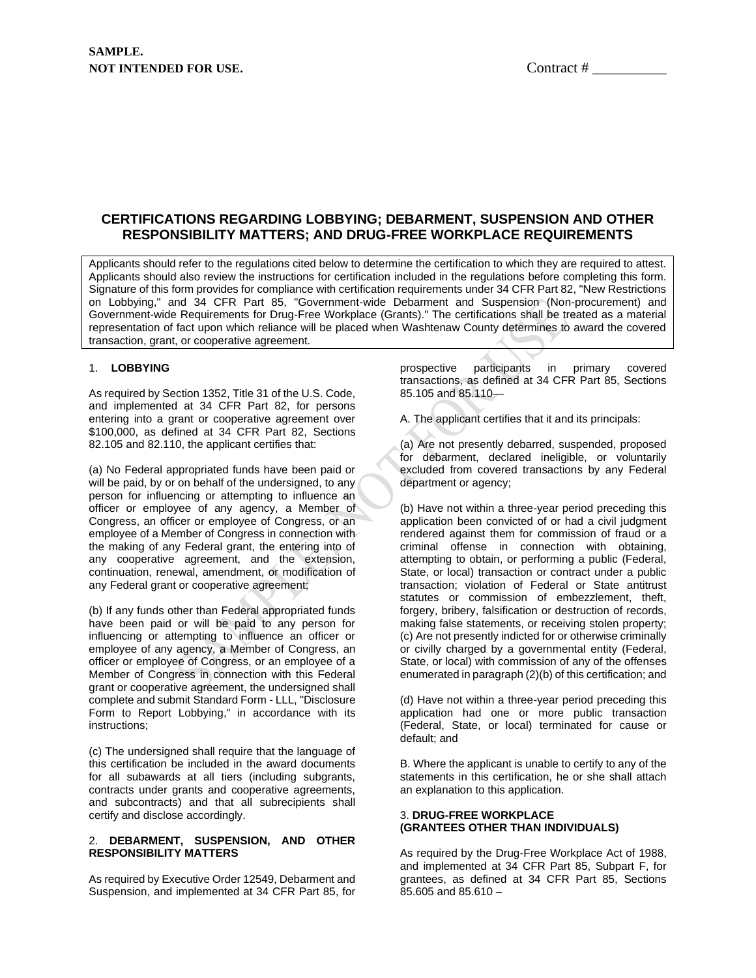### **CERTIFICATIONS REGARDING LOBBYING; DEBARMENT, SUSPENSION AND OTHER RESPONSIBILITY MATTERS; AND DRUG-FREE WORKPLACE REQUIREMENTS**

Applicants should refer to the regulations cited below to determine the certification to which they are required to attest. Applicants should also review the instructions for certification included in the regulations before completing this form. Signature of this form provides for compliance with certification requirements under 34 CFR Part 82, "New Restrictions on Lobbying," and 34 CFR Part 85, "Government-wide Debarment and Suspension (Non-procurement) and Government-wide Requirements for Drug-Free Workplace (Grants)." The certifications shall be treated as a material representation of fact upon which reliance will be placed when Washtenaw County determines to award the covered transaction, grant, or cooperative agreement.

#### 1. **LOBBYING**

As required by Section 1352, Title 31 of the U.S. Code, and implemented at 34 CFR Part 82, for persons entering into a grant or cooperative agreement over \$100,000, as defined at 34 CFR Part 82, Sections 82.105 and 82.110, the applicant certifies that:

(a) No Federal appropriated funds have been paid or will be paid, by or on behalf of the undersigned, to any person for influencing or attempting to influence an officer or employee of any agency, a Member of Congress, an officer or employee of Congress, or an employee of a Member of Congress in connection with the making of any Federal grant, the entering into of any cooperative agreement, and the extension, continuation, renewal, amendment, or modification of any Federal grant or cooperative agreement;

(b) If any funds other than Federal appropriated funds have been paid or will be paid to any person for influencing or attempting to influence an officer or employee of any agency, a Member of Congress, an officer or employee of Congress, or an employee of a Member of Congress in connection with this Federal grant or cooperative agreement, the undersigned shall complete and submit Standard Form - LLL, "Disclosure Form to Report Lobbying," in accordance with its instructions;

(c) The undersigned shall require that the language of this certification be included in the award documents for all subawards at all tiers (including subgrants, contracts under grants and cooperative agreements, and subcontracts) and that all subrecipients shall certify and disclose accordingly.

#### 2. **DEBARMENT, SUSPENSION, AND OTHER RESPONSIBILITY MATTERS**

As required by Executive Order 12549, Debarment and Suspension, and implemented at 34 CFR Part 85, for prospective participants in primary covered transactions, as defined at 34 CFR Part 85, Sections 85.105 and 85.110—

A. The applicant certifies that it and its principals:

(a) Are not presently debarred, suspended, proposed for debarment, declared ineligible, or voluntarily excluded from covered transactions by any Federal department or agency;

(b) Have not within a three-year period preceding this application been convicted of or had a civil judgment rendered against them for commission of fraud or a criminal offense in connection with obtaining, attempting to obtain, or performing a public (Federal, State, or local) transaction or contract under a public transaction; violation of Federal or State antitrust statutes or commission of embezzlement, theft, forgery, bribery, falsification or destruction of records, making false statements, or receiving stolen property; (c) Are not presently indicted for or otherwise criminally or civilly charged by a governmental entity (Federal, State, or local) with commission of any of the offenses enumerated in paragraph (2)(b) of this certification; and

(d) Have not within a three-year period preceding this application had one or more public transaction (Federal, State, or local) terminated for cause or default; and

B. Where the applicant is unable to certify to any of the statements in this certification, he or she shall attach an explanation to this application.

#### 3. **DRUG-FREE WORKPLACE (GRANTEES OTHER THAN INDIVIDUALS)**

As required by the Drug-Free Workplace Act of 1988, and implemented at 34 CFR Part 85, Subpart F, for grantees, as defined at 34 CFR Part 85, Sections 85.605 and 85.610 –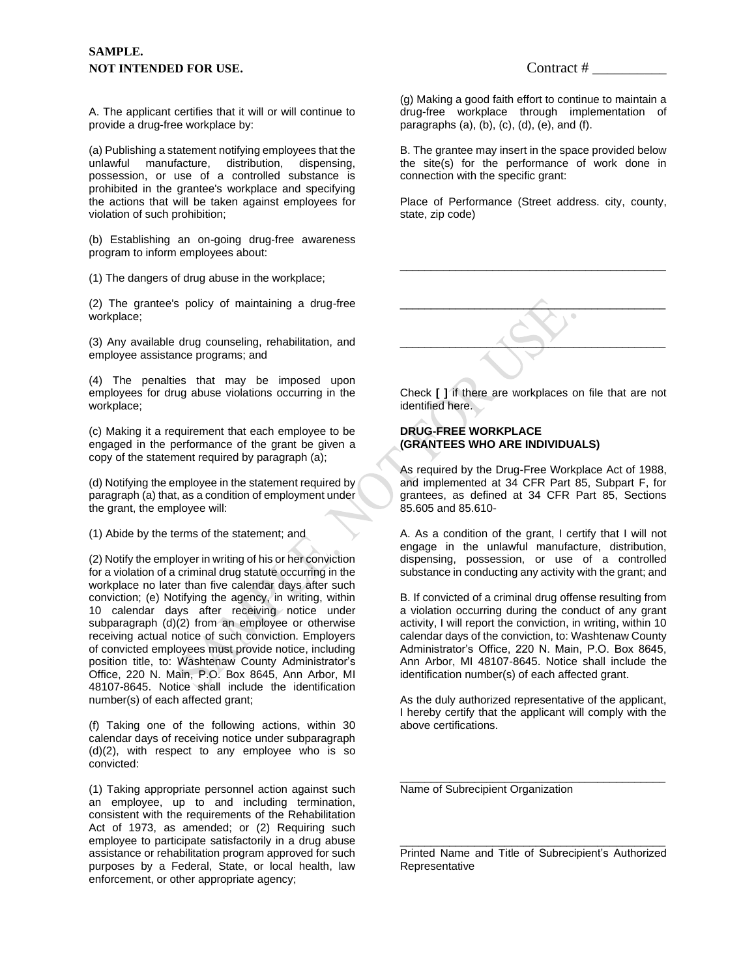A. The applicant certifies that it will or will continue to provide a drug-free workplace by:

(a) Publishing a statement notifying employees that the unlawful manufacture, distribution, dispensing, possession, or use of a controlled substance is prohibited in the grantee's workplace and specifying the actions that will be taken against employees for violation of such prohibition;

(b) Establishing an on-going drug-free awareness program to inform employees about:

(1) The dangers of drug abuse in the workplace;

(2) The grantee's policy of maintaining a drug-free workplace;

(3) Any available drug counseling, rehabilitation, and employee assistance programs; and

(4) The penalties that may be imposed upon employees for drug abuse violations occurring in the workplace;

(c) Making it a requirement that each employee to be engaged in the performance of the grant be given a copy of the statement required by paragraph (a);

(d) Notifying the employee in the statement required by paragraph (a) that, as a condition of employment under the grant, the employee will:

(1) Abide by the terms of the statement; and

(2) Notify the employer in writing of his or her conviction for a violation of a criminal drug statute occurring in the workplace no later than five calendar days after such conviction; (e) Notifying the agency, in writing, within 10 calendar days after receiving notice under subparagraph (d)(2) from an employee or otherwise receiving actual notice of such conviction. Employers of convicted employees must provide notice, including position title, to: Washtenaw County Administrator's Office, 220 N. Main, P.O. Box 8645, Ann Arbor, MI 48107-8645. Notice shall include the identification number(s) of each affected grant;

(f) Taking one of the following actions, within 30 calendar days of receiving notice under subparagraph (d)(2), with respect to any employee who is so convicted:

(1) Taking appropriate personnel action against such an employee, up to and including termination, consistent with the requirements of the Rehabilitation Act of 1973, as amended; or (2) Requiring such employee to participate satisfactorily in a drug abuse assistance or rehabilitation program approved for such purposes by a Federal, State, or local health, law enforcement, or other appropriate agency;

(g) Making a good faith effort to continue to maintain a drug-free workplace through implementation of paragraphs  $(a)$ ,  $(b)$ ,  $(c)$ ,  $(d)$ ,  $(e)$ , and  $(f)$ .

B. The grantee may insert in the space provided below the site(s) for the performance of work done in connection with the specific grant:

Place of Performance (Street address. city, county, state, zip code)

\_\_\_\_\_\_\_\_\_\_\_\_\_\_\_\_\_\_\_\_\_\_\_\_\_\_\_\_\_\_\_\_\_\_\_\_\_\_\_\_\_\_\_



Check **[ ]** if there are workplaces on file that are not identified here.

#### **DRUG-FREE WORKPLACE (GRANTEES WHO ARE INDIVIDUALS)**

As required by the Drug-Free Workplace Act of 1988, and implemented at 34 CFR Part 85, Subpart F, for grantees, as defined at 34 CFR Part 85, Sections 85.605 and 85.610-

A. As a condition of the grant, I certify that I will not engage in the unlawful manufacture, distribution, dispensing, possession, or use of a controlled substance in conducting any activity with the grant; and

B. If convicted of a criminal drug offense resulting from a violation occurring during the conduct of any grant activity, I will report the conviction, in writing, within 10 calendar days of the conviction, to: Washtenaw County Administrator's Office, 220 N. Main, P.O. Box 8645, Ann Arbor, MI 48107-8645. Notice shall include the identification number(s) of each affected grant.

As the duly authorized representative of the applicant, I hereby certify that the applicant will comply with the above certifications.

\_\_\_\_\_\_\_\_\_\_\_\_\_\_\_\_\_\_\_\_\_\_\_\_\_\_\_\_\_\_\_\_\_\_\_\_\_\_\_\_\_\_\_

Name of Subrecipient Organization

\_\_\_\_\_\_\_\_\_\_\_\_\_\_\_\_\_\_\_\_\_\_\_\_\_\_\_\_\_\_\_\_\_\_\_\_\_\_\_\_\_\_\_ Printed Name and Title of Subrecipient's Authorized **Representative**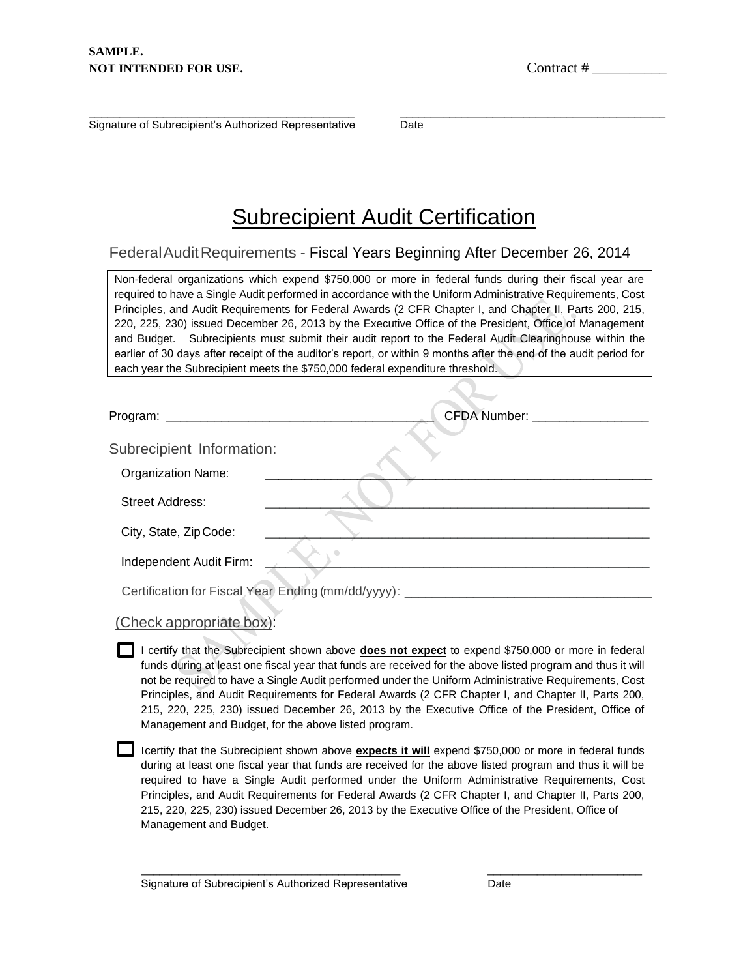\_\_\_\_\_\_\_\_\_\_\_\_\_\_\_\_\_\_\_\_\_\_\_\_\_\_\_\_\_\_\_\_\_\_\_\_\_\_\_\_\_\_\_ Signature of Subrecipient's Authorized Representative

\_\_\_\_\_\_\_\_\_\_\_\_\_\_\_\_\_\_\_\_\_\_\_\_\_\_\_\_\_\_\_\_\_\_\_\_\_\_\_\_\_\_\_ Date

# **Subrecipient Audit Certification**

## FederalAuditRequirements - Fiscal Years Beginning After December 26, 2014

Non-federal organizations which expend \$750,000 or more in federal funds during their fiscal year are required to have a Single Audit performed in accordance with the Uniform Administrative Requirements, Cost Principles, and Audit Requirements for Federal Awards (2 CFR Chapter I, and Chapter II, Parts 200, 215, 220, 225, 230) issued December 26, 2013 by the Executive Office of the President, Office of Management and Budget. Subrecipients must submit their audit report to the Federal Audit Clearinghouse within the earlier of 30 days after receipt of the auditor's report, or within 9 months after the end of the audit period for each year the Subrecipient meets the \$750,000 federal expenditure threshold.

| Program:                  | CFDA Number:                                            |
|---------------------------|---------------------------------------------------------|
| Subrecipient Information: |                                                         |
| <b>Organization Name:</b> |                                                         |
| <b>Street Address:</b>    |                                                         |
| City, State, Zip Code:    |                                                         |
| Independent Audit Firm:   |                                                         |
|                           | Certification for Fiscal Year Ending (mm/dd/yyyy): ____ |

| (Check appropriate box): |  |  |  |  |
|--------------------------|--|--|--|--|
|--------------------------|--|--|--|--|

I certify that the Subrecipient shown above **does not expect** to expend \$750,000 or more in federal funds during at least one fiscal year that funds are received for the above listed program and thus it will not be required to have a Single Audit performed under the Uniform Administrative Requirements, Cost Principles, and Audit Requirements for Federal Awards (2 CFR Chapter I, and Chapter II, Parts 200, 215, 220, 225, 230) issued December 26, 2013 by the Executive Office of the President, Office of Management and Budget, for the above listed program.

Icertify that the Subrecipient shown above **expects it will** expend \$750,000 or more in federal funds during at least one fiscal year that funds are received for the above listed program and thus it will be required to have a Single Audit performed under the Uniform Administrative Requirements, Cost Principles, and Audit Requirements for Federal Awards (2 CFR Chapter I, and Chapter II, Parts 200, 215, 220, 225, 230) issued December 26, 2013 by the Executive Office of the President, Office of Management and Budget.

\_\_\_\_\_\_\_\_\_\_\_\_\_\_\_\_\_\_\_\_\_\_\_\_\_\_\_\_\_\_\_\_\_\_\_\_\_\_\_\_\_\_ \_\_\_\_\_\_\_\_\_\_\_\_\_\_\_\_\_\_\_\_\_\_\_\_\_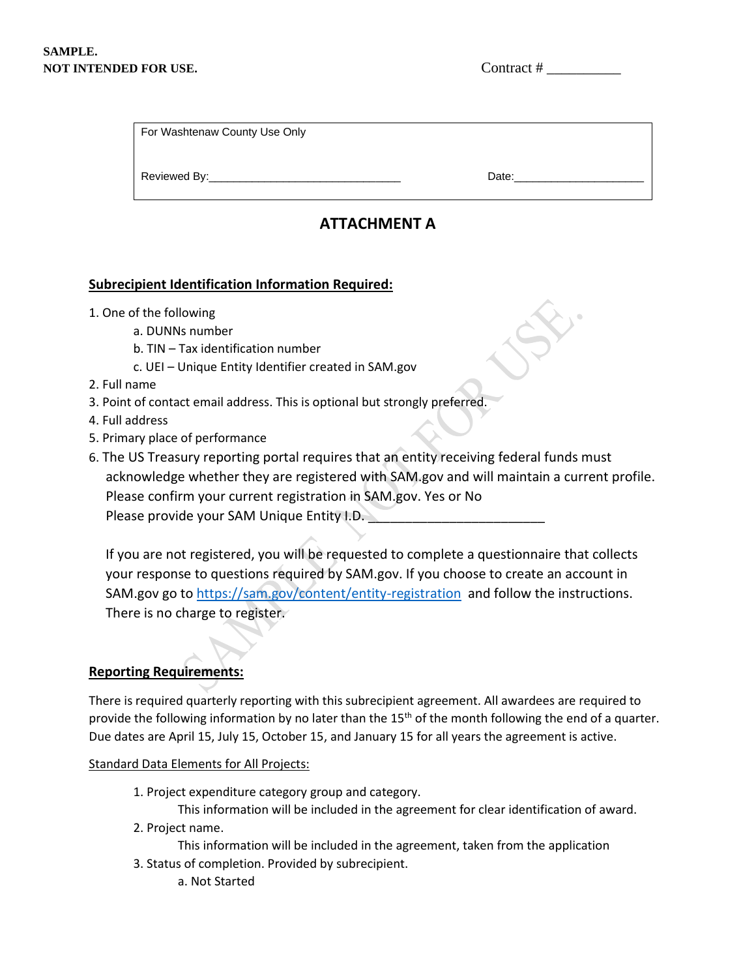| For Washtenaw County Use Only |  |  |
|-------------------------------|--|--|
|                               |  |  |
|                               |  |  |

# **ATTACHMENT A**

Reviewed By: extending the state of the state of the Date:

## **Subrecipient Identification Information Required:**

- 1. One of the following
	- a. DUNNs number
	- b. TIN Tax identification number
	- c. UEI Unique Entity Identifier created in SAM.gov
- 2. Full name
- 3. Point of contact email address. This is optional but strongly preferred.
- 4. Full address
- 5. Primary place of performance
- 6. The US Treasury reporting portal requires that an entity receiving federal funds must acknowledge whether they are registered with SAM.gov and will maintain a current profile. Please confirm your current registration in SAM.gov. Yes or No Please provide your SAM Unique Entity I.D.

If you are not registered, you will be requested to complete a questionnaire that collects your response to questions required by SAM.gov. If you choose to create an account in SAM.gov go to<https://sam.gov/content/entity-registration>and follow the instructions. There is no charge to register.

## **Reporting Requirements:**

There is required quarterly reporting with this subrecipient agreement. All awardees are required to provide the following information by no later than the 15<sup>th</sup> of the month following the end of a quarter. Due dates are April 15, July 15, October 15, and January 15 for all years the agreement is active.

#### Standard Data Elements for All Projects:

1. Project expenditure category group and category.

This information will be included in the agreement for clear identification of award.

- 2. Project name.
	- This information will be included in the agreement, taken from the application
- 3. Status of completion. Provided by subrecipient.
	- a. Not Started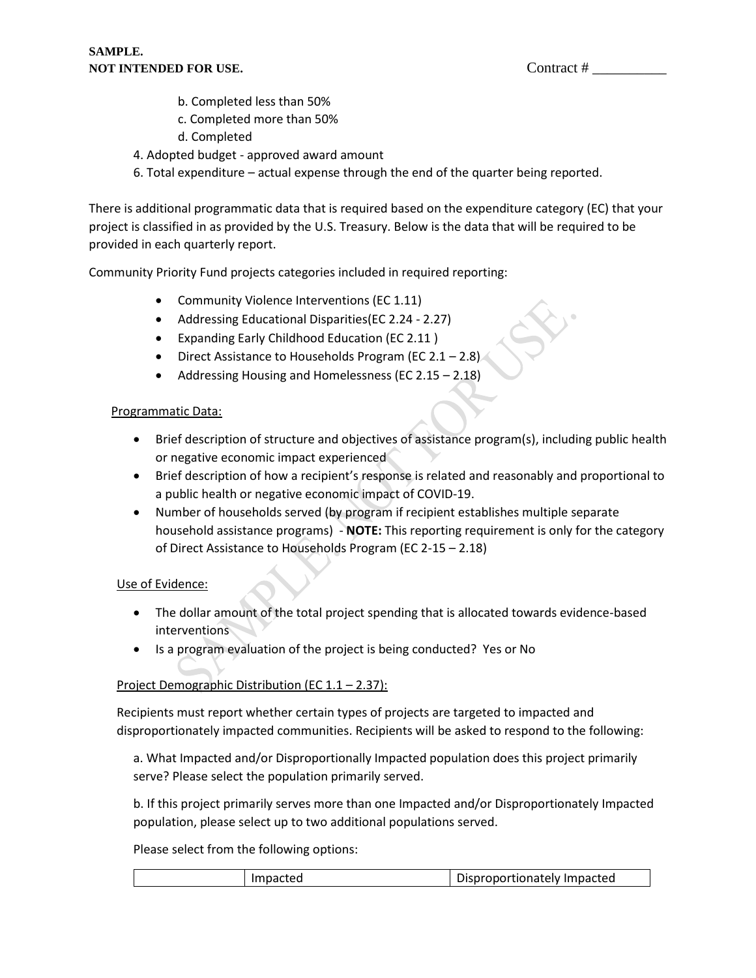- b. Completed less than 50%
- c. Completed more than 50%
- d. Completed
- 4. Adopted budget approved award amount
- 6. Total expenditure actual expense through the end of the quarter being reported.

There is additional programmatic data that is required based on the expenditure category (EC) that your project is classified in as provided by the U.S. Treasury. Below is the data that will be required to be provided in each quarterly report.

Community Priority Fund projects categories included in required reporting:

- Community Violence Interventions (EC 1.11)
- Addressing Educational Disparities(EC 2.24 2.27)
- Expanding Early Childhood Education (EC 2.11 )
- Direct Assistance to Households Program (EC  $2.1 2.8$ )
- Addressing Housing and Homelessness (EC 2.15 2.18)

#### Programmatic Data:

- Brief description of structure and objectives of assistance program(s), including public health or negative economic impact experienced
- Brief description of how a recipient's response is related and reasonably and proportional to a public health or negative economic impact of COVID-19.
- Number of households served (by program if recipient establishes multiple separate household assistance programs) - **NOTE:** This reporting requirement is only for the category of Direct Assistance to Households Program (EC 2-15 – 2.18)

#### Use of Evidence:

- The dollar amount of the total project spending that is allocated towards evidence-based interventions
- Is a program evaluation of the project is being conducted? Yes or No

#### Project Demographic Distribution (EC 1.1 – 2.37):

Recipients must report whether certain types of projects are targeted to impacted and disproportionately impacted communities. Recipients will be asked to respond to the following:

a. What Impacted and/or Disproportionally Impacted population does this project primarily serve? Please select the population primarily served.

b. If this project primarily serves more than one Impacted and/or Disproportionately Impacted population, please select up to two additional populations served.

Please select from the following options:

| Impacted | Disproportionately Impacted |
|----------|-----------------------------|
|          |                             |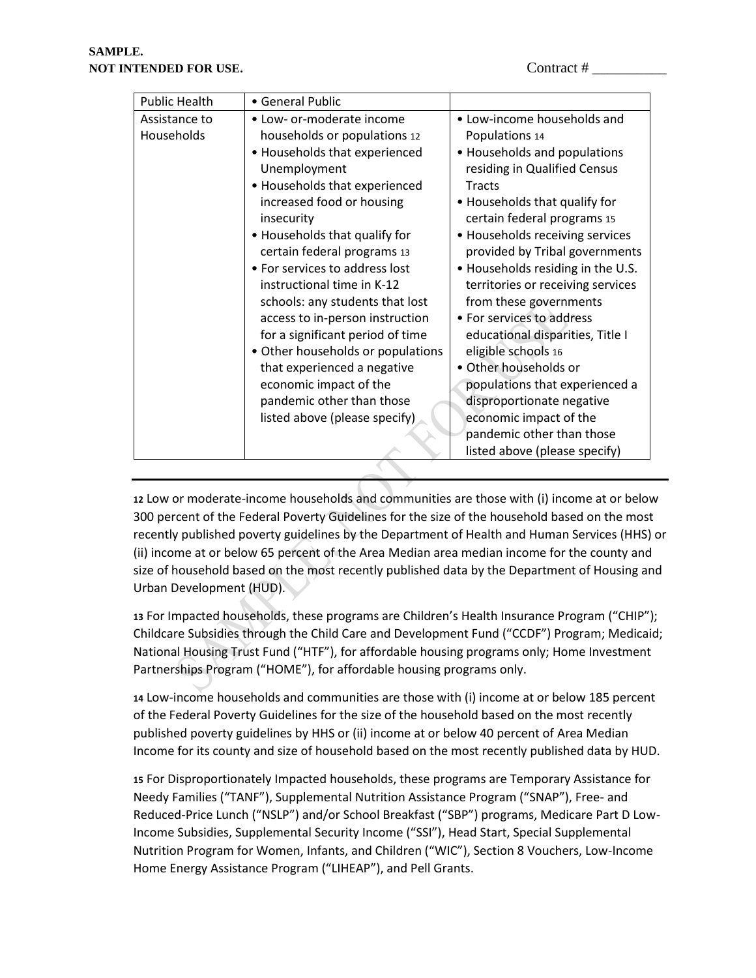| <b>Public Health</b> | • General Public                  |                                   |
|----------------------|-----------------------------------|-----------------------------------|
| Assistance to        | • Low- or-moderate income         | • Low-income households and       |
| Households           | households or populations 12      | Populations 14                    |
|                      | • Households that experienced     | • Households and populations      |
|                      | Unemployment                      | residing in Qualified Census      |
|                      | • Households that experienced     | Tracts                            |
|                      | increased food or housing         | • Households that qualify for     |
|                      | insecurity                        | certain federal programs 15       |
|                      | • Households that qualify for     | • Households receiving services   |
|                      | certain federal programs 13       | provided by Tribal governments    |
|                      | • For services to address lost    | • Households residing in the U.S. |
|                      | instructional time in K-12        | territories or receiving services |
|                      | schools: any students that lost   | from these governments            |
|                      | access to in-person instruction   | • For services to address         |
|                      | for a significant period of time  | educational disparities, Title I  |
|                      | • Other households or populations | eligible schools 16               |
|                      | that experienced a negative       | • Other households or             |
|                      | economic impact of the            | populations that experienced a    |
|                      | pandemic other than those         | disproportionate negative         |
|                      | listed above (please specify)     | economic impact of the            |
|                      |                                   | pandemic other than those         |
|                      |                                   | listed above (please specify)     |

**12** Low or moderate-income households and communities are those with (i) income at or below 300 percent of the Federal Poverty Guidelines for the size of the household based on the most recently published poverty guidelines by the Department of Health and Human Services (HHS) or (ii) income at or below 65 percent of the Area Median area median income for the county and size of household based on the most recently published data by the Department of Housing and Urban Development (HUD).

**13** For Impacted households, these programs are Children's Health Insurance Program ("CHIP"); Childcare Subsidies through the Child Care and Development Fund ("CCDF") Program; Medicaid; National Housing Trust Fund ("HTF"), for affordable housing programs only; Home Investment Partnerships Program ("HOME"), for affordable housing programs only.

**14** Low-income households and communities are those with (i) income at or below 185 percent of the Federal Poverty Guidelines for the size of the household based on the most recently published poverty guidelines by HHS or (ii) income at or below 40 percent of Area Median Income for its county and size of household based on the most recently published data by HUD.

**15** For Disproportionately Impacted households, these programs are Temporary Assistance for Needy Families ("TANF"), Supplemental Nutrition Assistance Program ("SNAP"), Free- and Reduced-Price Lunch ("NSLP") and/or School Breakfast ("SBP") programs, Medicare Part D Low-Income Subsidies, Supplemental Security Income ("SSI"), Head Start, Special Supplemental Nutrition Program for Women, Infants, and Children ("WIC"), Section 8 Vouchers, Low-Income Home Energy Assistance Program ("LIHEAP"), and Pell Grants.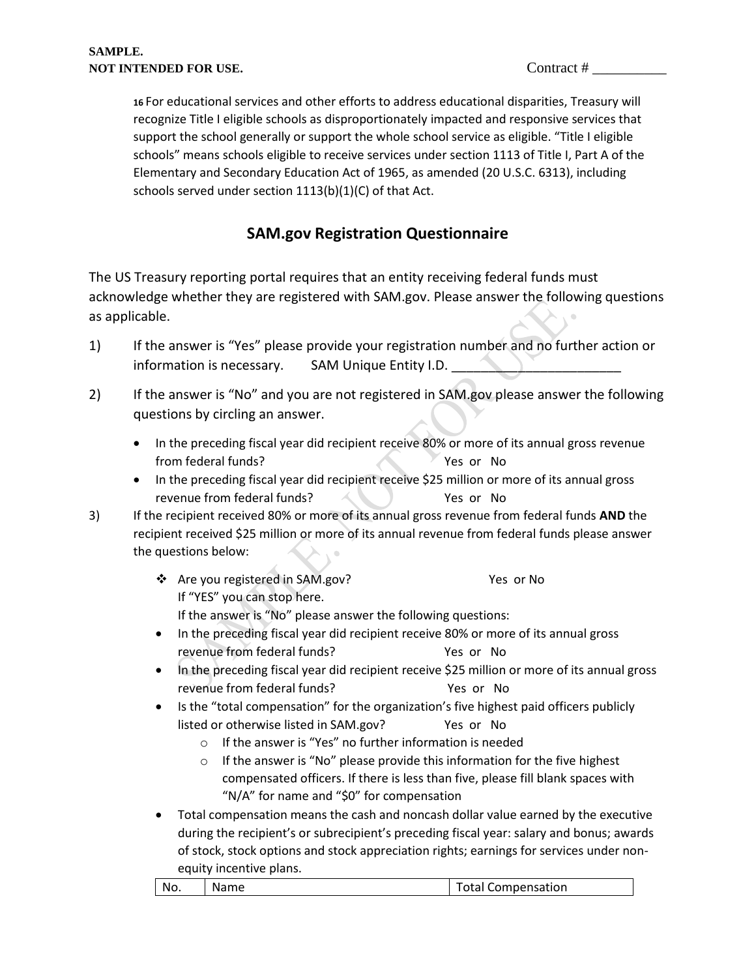**16** For educational services and other efforts to address educational disparities, Treasury will recognize Title I eligible schools as disproportionately impacted and responsive services that support the school generally or support the whole school service as eligible. "Title I eligible schools" means schools eligible to receive services under section 1113 of Title I, Part A of the Elementary and Secondary Education Act of 1965, as amended (20 U.S.C. 6313), including schools served under section 1113(b)(1)(C) of that Act.

# **SAM.gov Registration Questionnaire**

The US Treasury reporting portal requires that an entity receiving federal funds must acknowledge whether they are registered with SAM.gov. Please answer the following questions as applicable.

- 1) If the answer is "Yes" please provide your registration number and no further action or information is necessary. SAM Unique Entity I.D.
- 2) If the answer is "No" and you are not registered in SAM.gov please answer the following questions by circling an answer.
	- In the preceding fiscal year did recipient receive 80% or more of its annual gross revenue from federal funds? Yes or No
	- In the preceding fiscal year did recipient receive \$25 million or more of its annual gross revenue from federal funds? Yes or No
- 3) If the recipient received 80% or more of its annual gross revenue from federal funds **AND** the recipient received \$25 million or more of its annual revenue from federal funds please answer the questions below:
	- ❖ Are you registered in SAM.gov? Yes or No If "YES" you can stop here. If the answer is "No" please answer the following questions:
	- In the preceding fiscal year did recipient receive 80% or more of its annual gross revenue from federal funds? Yes or No
	- In the preceding fiscal year did recipient receive \$25 million or more of its annual gross revenue from federal funds? The Mession No
	- Is the "total compensation" for the organization's five highest paid officers publicly listed or otherwise listed in SAM.gov? Yes or No
		- o If the answer is "Yes" no further information is needed
		- o If the answer is "No" please provide this information for the five highest compensated officers. If there is less than five, please fill blank spaces with "N/A" for name and "\$0" for compensation
	- Total compensation means the cash and noncash dollar value earned by the executive during the recipient's or subrecipient's preceding fiscal year: salary and bonus; awards of stock, stock options and stock appreciation rights; earnings for services under nonequity incentive plans.

| No.<br><b>Total Compensation</b><br>Name |  |
|------------------------------------------|--|
|------------------------------------------|--|